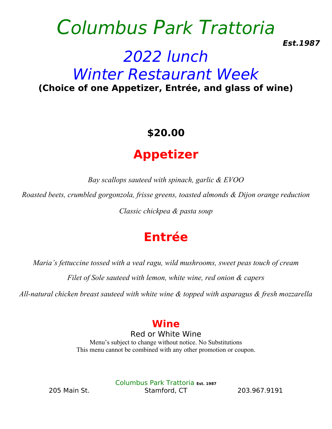# Columbus Park Trattoria **Est.1987** 2022 lunch Winter Restaurant Week **(Choice of one Appetizer, Entrée, and glass of wine)**

## **\$20.00**

## **Appetizer**

*Bay scallops sauteed with spinach, garlic & EVOO*

*Roasted beets, crumbled gorgonzola, frisse greens, toasted almonds & Dijon orange reduction*

*Classic chickpea & pasta soup*

## **Entrée**

*Maria's fettuccine tossed with a veal ragu, wild mushrooms, sweet peas touch of cream*

*Filet of Sole sauteed with lemon, white wine, red onion & capers*

*All-natural chicken breast sauteed with white wine & topped with asparagus & fresh mozzarella* 

#### **Wine**

Red or White Wine Menu's subject to change without notice. No Substitutions This menu cannot be combined with any other promotion or coupon.

Columbus Park Trattoria **Est. 1987** 205 Main St. Stamford, CT 203.967.9191